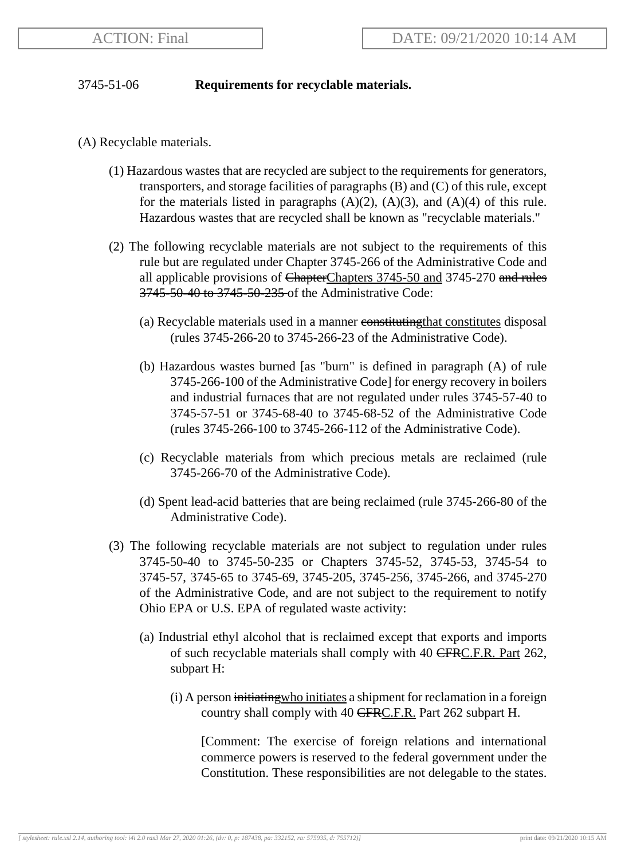## 3745-51-06 **Requirements for recyclable materials.**

- (A) Recyclable materials.
	- (1) Hazardous wastes that are recycled are subject to the requirements for generators, transporters, and storage facilities of paragraphs (B) and (C) of this rule, except for the materials listed in paragraphs  $(A)(2)$ ,  $(A)(3)$ , and  $(A)(4)$  of this rule. Hazardous wastes that are recycled shall be known as "recyclable materials."
	- (2) The following recyclable materials are not subject to the requirements of this rule but are regulated under Chapter 3745-266 of the Administrative Code and all applicable provisions of ChapterChapters 3745-50 and 3745-270 and rules 3745-50-40 to 3745-50-235 of the Administrative Code:
		- (a) Recyclable materials used in a manner constituting that constitutes disposal (rules 3745-266-20 to 3745-266-23 of the Administrative Code).
		- (b) Hazardous wastes burned [as "burn" is defined in paragraph (A) of rule 3745-266-100 of the Administrative Code] for energy recovery in boilers and industrial furnaces that are not regulated under rules 3745-57-40 to 3745-57-51 or 3745-68-40 to 3745-68-52 of the Administrative Code (rules 3745-266-100 to 3745-266-112 of the Administrative Code).
		- (c) Recyclable materials from which precious metals are reclaimed (rule 3745-266-70 of the Administrative Code).
		- (d) Spent lead-acid batteries that are being reclaimed (rule 3745-266-80 of the Administrative Code).
	- (3) The following recyclable materials are not subject to regulation under rules 3745-50-40 to 3745-50-235 or Chapters 3745-52, 3745-53, 3745-54 to 3745-57, 3745-65 to 3745-69, 3745-205, 3745-256, 3745-266, and 3745-270 of the Administrative Code, and are not subject to the requirement to notify Ohio EPA or U.S. EPA of regulated waste activity:
		- (a) Industrial ethyl alcohol that is reclaimed except that exports and imports of such recyclable materials shall comply with 40 CFRC.F.R. Part 262, subpart H:
			- (i) A person initiating who initiates a shipment for reclamation in a foreign country shall comply with 40 CFRC.F.R. Part 262 subpart H.

[Comment: The exercise of foreign relations and international commerce powers is reserved to the federal government under the Constitution. These responsibilities are not delegable to the states.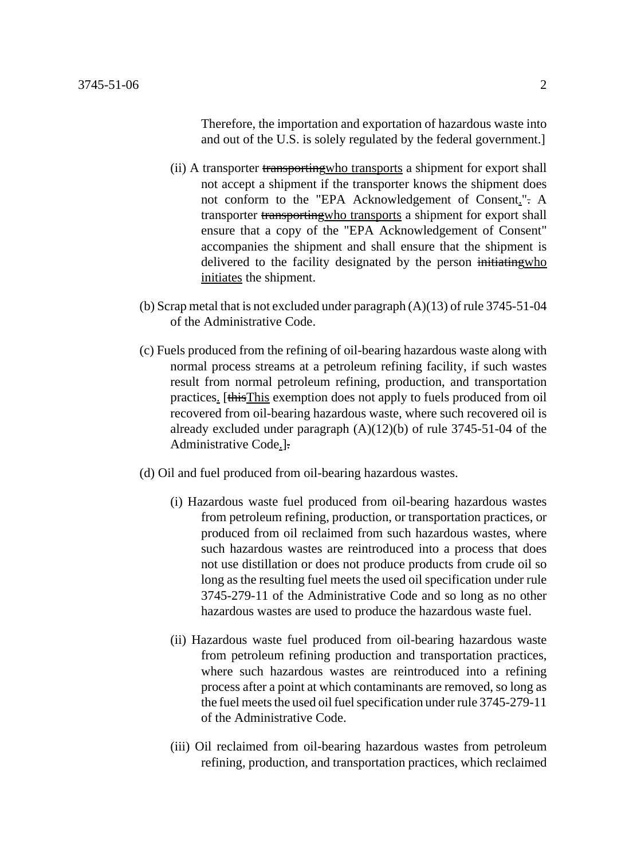Therefore, the importation and exportation of hazardous waste into and out of the U.S. is solely regulated by the federal government.]

- (ii) A transporter transporting who transports a shipment for export shall not accept a shipment if the transporter knows the shipment does not conform to the "EPA Acknowledgement of Consent.". A transporter transportingwho transports a shipment for export shall ensure that a copy of the "EPA Acknowledgement of Consent" accompanies the shipment and shall ensure that the shipment is delivered to the facility designated by the person initiating who initiates the shipment.
- (b) Scrap metal that is not excluded under paragraph  $(A)(13)$  of rule 3745-51-04 of the Administrative Code.
- (c) Fuels produced from the refining of oil-bearing hazardous waste along with normal process streams at a petroleum refining facility, if such wastes result from normal petroleum refining, production, and transportation practices. [thisThis exemption does not apply to fuels produced from oil recovered from oil-bearing hazardous waste, where such recovered oil is already excluded under paragraph (A)(12)(b) of rule 3745-51-04 of the Administrative Code.].
- (d) Oil and fuel produced from oil-bearing hazardous wastes.
	- (i) Hazardous waste fuel produced from oil-bearing hazardous wastes from petroleum refining, production, or transportation practices, or produced from oil reclaimed from such hazardous wastes, where such hazardous wastes are reintroduced into a process that does not use distillation or does not produce products from crude oil so long as the resulting fuel meets the used oil specification under rule 3745-279-11 of the Administrative Code and so long as no other hazardous wastes are used to produce the hazardous waste fuel.
	- (ii) Hazardous waste fuel produced from oil-bearing hazardous waste from petroleum refining production and transportation practices, where such hazardous wastes are reintroduced into a refining process after a point at which contaminants are removed, so long as the fuel meets the used oil fuel specification under rule 3745-279-11 of the Administrative Code.
	- (iii) Oil reclaimed from oil-bearing hazardous wastes from petroleum refining, production, and transportation practices, which reclaimed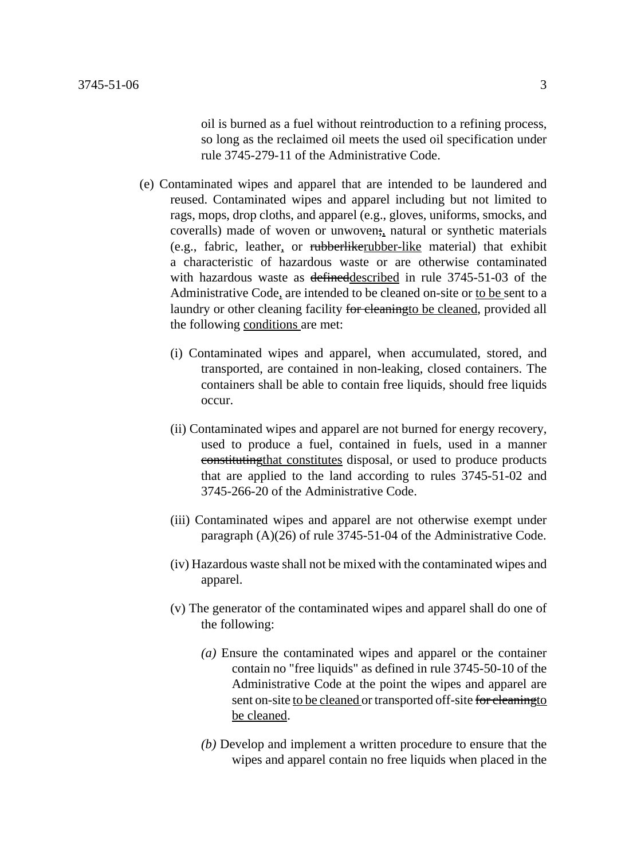oil is burned as a fuel without reintroduction to a refining process, so long as the reclaimed oil meets the used oil specification under rule 3745-279-11 of the Administrative Code.

- (e) Contaminated wipes and apparel that are intended to be laundered and reused. Contaminated wipes and apparel including but not limited to rags, mops, drop cloths, and apparel (e.g., gloves, uniforms, smocks, and coveralls) made of woven or unwoven; natural or synthetic materials (e.g., fabric, leather, or rubberlikerubber-like material) that exhibit a characteristic of hazardous waste or are otherwise contaminated with hazardous waste as <del>defined</del> described in rule 3745-51-03 of the Administrative Code, are intended to be cleaned on-site or to be sent to a laundry or other cleaning facility for cleaning to be cleaned, provided all the following conditions are met:
	- (i) Contaminated wipes and apparel, when accumulated, stored, and transported, are contained in non-leaking, closed containers. The containers shall be able to contain free liquids, should free liquids occur.
	- (ii) Contaminated wipes and apparel are not burned for energy recovery, used to produce a fuel, contained in fuels, used in a manner constitutingthat constitutes disposal, or used to produce products that are applied to the land according to rules 3745-51-02 and 3745-266-20 of the Administrative Code.
	- (iii) Contaminated wipes and apparel are not otherwise exempt under paragraph (A)(26) of rule 3745-51-04 of the Administrative Code.
	- (iv) Hazardous waste shall not be mixed with the contaminated wipes and apparel.
	- (v) The generator of the contaminated wipes and apparel shall do one of the following:
		- *(a)* Ensure the contaminated wipes and apparel or the container contain no "free liquids" as defined in rule 3745-50-10 of the Administrative Code at the point the wipes and apparel are sent on-site to be cleaned or transported off-site for cleaning to be cleaned.
		- *(b)* Develop and implement a written procedure to ensure that the wipes and apparel contain no free liquids when placed in the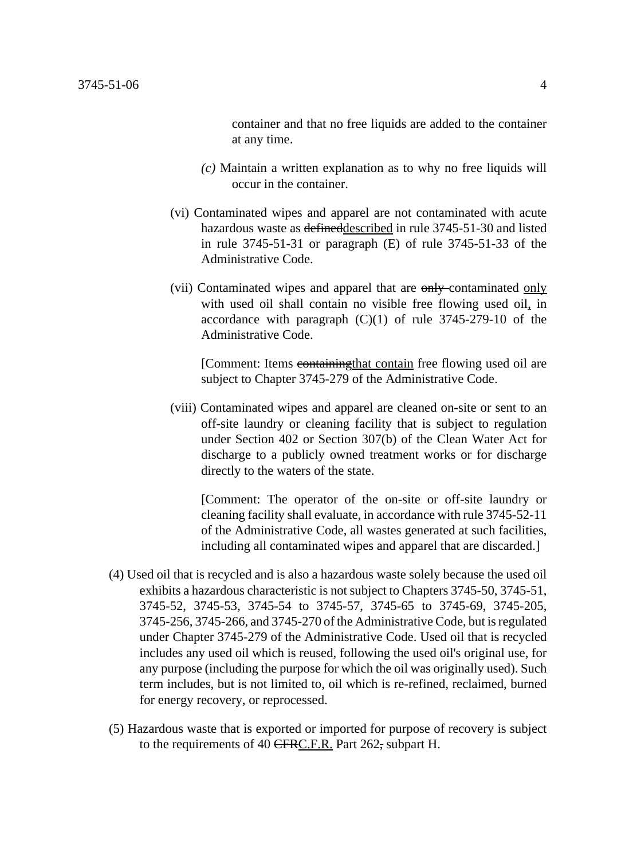container and that no free liquids are added to the container at any time.

- *(c)* Maintain a written explanation as to why no free liquids will occur in the container.
- (vi) Contaminated wipes and apparel are not contaminated with acute hazardous waste as defineddescribed in rule 3745-51-30 and listed in rule 3745-51-31 or paragraph (E) of rule 3745-51-33 of the Administrative Code.
- (vii) Contaminated wipes and apparel that are only contaminated only with used oil shall contain no visible free flowing used oil, in accordance with paragraph (C)(1) of rule 3745-279-10 of the Administrative Code.

[Comment: Items containing that contain free flowing used oil are subject to Chapter 3745-279 of the Administrative Code.

(viii) Contaminated wipes and apparel are cleaned on-site or sent to an off-site laundry or cleaning facility that is subject to regulation under Section 402 or Section 307(b) of the Clean Water Act for discharge to a publicly owned treatment works or for discharge directly to the waters of the state.

[Comment: The operator of the on-site or off-site laundry or cleaning facility shall evaluate, in accordance with rule 3745-52-11 of the Administrative Code, all wastes generated at such facilities, including all contaminated wipes and apparel that are discarded.]

- (4) Used oil that is recycled and is also a hazardous waste solely because the used oil exhibits a hazardous characteristic is not subject to Chapters 3745-50, 3745-51, 3745-52, 3745-53, 3745-54 to 3745-57, 3745-65 to 3745-69, 3745-205, 3745-256, 3745-266, and 3745-270 of the Administrative Code, but is regulated under Chapter 3745-279 of the Administrative Code. Used oil that is recycled includes any used oil which is reused, following the used oil's original use, for any purpose (including the purpose for which the oil was originally used). Such term includes, but is not limited to, oil which is re-refined, reclaimed, burned for energy recovery, or reprocessed.
- (5) Hazardous waste that is exported or imported for purpose of recovery is subject to the requirements of 40 CFRC.F.R. Part 262, subpart H.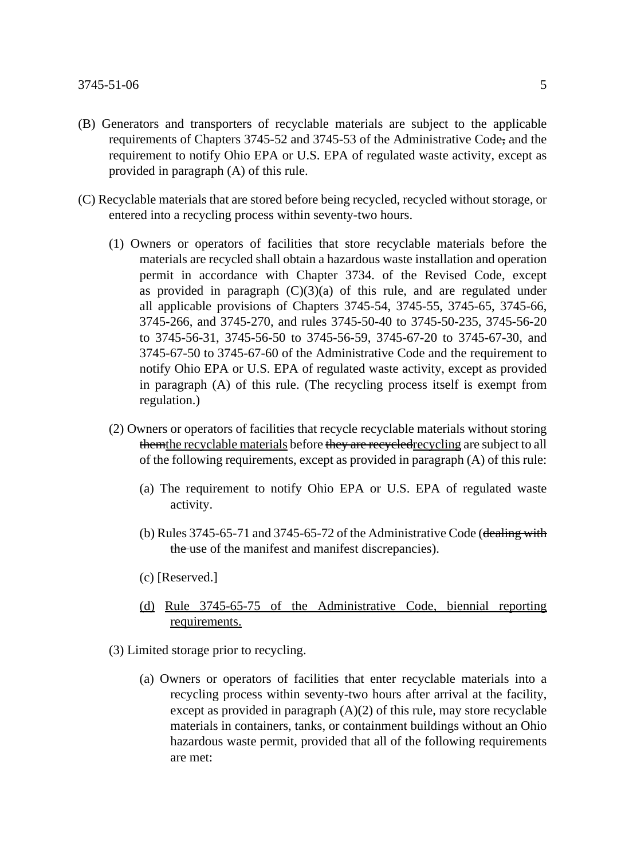- (B) Generators and transporters of recyclable materials are subject to the applicable requirements of Chapters 3745-52 and 3745-53 of the Administrative Code, and the requirement to notify Ohio EPA or U.S. EPA of regulated waste activity, except as provided in paragraph (A) of this rule.
- (C) Recyclable materials that are stored before being recycled, recycled without storage, or entered into a recycling process within seventy-two hours.
	- (1) Owners or operators of facilities that store recyclable materials before the materials are recycled shall obtain a hazardous waste installation and operation permit in accordance with Chapter 3734. of the Revised Code, except as provided in paragraph  $(C)(3)(a)$  of this rule, and are regulated under all applicable provisions of Chapters 3745-54, 3745-55, 3745-65, 3745-66, 3745-266, and 3745-270, and rules 3745-50-40 to 3745-50-235, 3745-56-20 to 3745-56-31, 3745-56-50 to 3745-56-59, 3745-67-20 to 3745-67-30, and 3745-67-50 to 3745-67-60 of the Administrative Code and the requirement to notify Ohio EPA or U.S. EPA of regulated waste activity, except as provided in paragraph (A) of this rule. (The recycling process itself is exempt from regulation.)
	- (2) Owners or operators of facilities that recycle recyclable materials without storing them the recyclable materials before they are recycled recycling are subject to all of the following requirements, except as provided in paragraph (A) of this rule:
		- (a) The requirement to notify Ohio EPA or U.S. EPA of regulated waste activity.
		- (b) Rules  $3745-65-71$  and  $3745-65-72$  of the Administrative Code (dealing with the use of the manifest and manifest discrepancies).
		- (c) [Reserved.]
		- (d) Rule 3745-65-75 of the Administrative Code, biennial reporting requirements.
	- (3) Limited storage prior to recycling.
		- (a) Owners or operators of facilities that enter recyclable materials into a recycling process within seventy-two hours after arrival at the facility, except as provided in paragraph (A)(2) of this rule, may store recyclable materials in containers, tanks, or containment buildings without an Ohio hazardous waste permit, provided that all of the following requirements are met: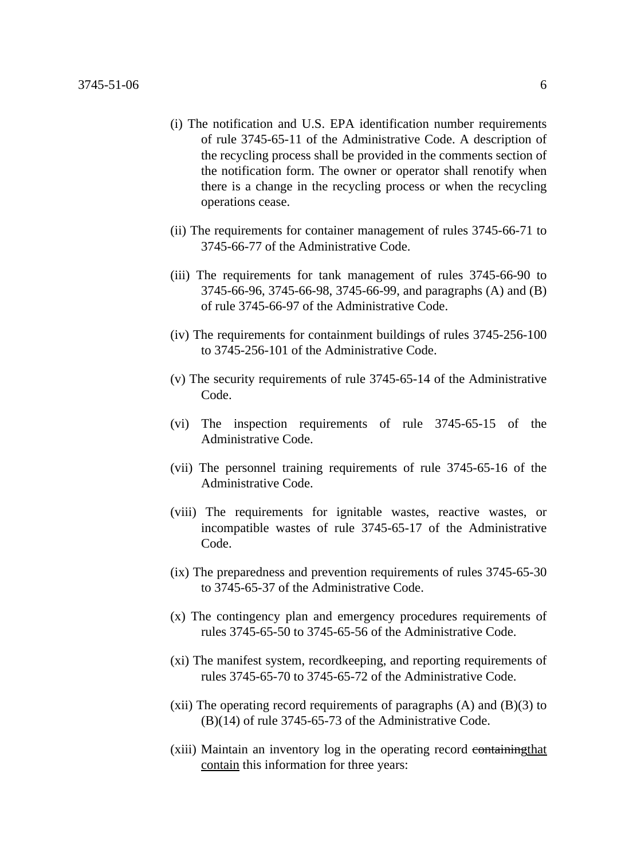- (i) The notification and U.S. EPA identification number requirements of rule 3745-65-11 of the Administrative Code. A description of the recycling process shall be provided in the comments section of the notification form. The owner or operator shall renotify when there is a change in the recycling process or when the recycling operations cease.
- (ii) The requirements for container management of rules 3745-66-71 to 3745-66-77 of the Administrative Code.
- (iii) The requirements for tank management of rules 3745-66-90 to 3745-66-96, 3745-66-98, 3745-66-99, and paragraphs (A) and (B) of rule 3745-66-97 of the Administrative Code.
- (iv) The requirements for containment buildings of rules 3745-256-100 to 3745-256-101 of the Administrative Code.
- (v) The security requirements of rule 3745-65-14 of the Administrative Code.
- (vi) The inspection requirements of rule 3745-65-15 of the Administrative Code.
- (vii) The personnel training requirements of rule 3745-65-16 of the Administrative Code.
- (viii) The requirements for ignitable wastes, reactive wastes, or incompatible wastes of rule 3745-65-17 of the Administrative Code.
- (ix) The preparedness and prevention requirements of rules 3745-65-30 to 3745-65-37 of the Administrative Code.
- (x) The contingency plan and emergency procedures requirements of rules 3745-65-50 to 3745-65-56 of the Administrative Code.
- (xi) The manifest system, recordkeeping, and reporting requirements of rules 3745-65-70 to 3745-65-72 of the Administrative Code.
- (xii) The operating record requirements of paragraphs  $(A)$  and  $(B)(3)$  to (B)(14) of rule 3745-65-73 of the Administrative Code.
- (xiii) Maintain an inventory log in the operating record containing that contain this information for three years: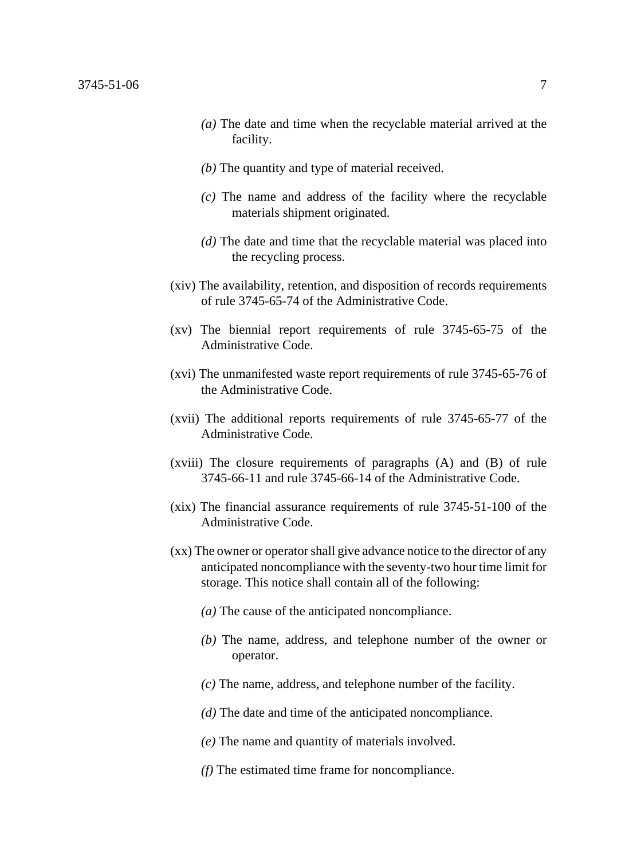- *(a)* The date and time when the recyclable material arrived at the facility.
- *(b)* The quantity and type of material received.
- *(c)* The name and address of the facility where the recyclable materials shipment originated.
- *(d)* The date and time that the recyclable material was placed into the recycling process.
- (xiv) The availability, retention, and disposition of records requirements of rule 3745-65-74 of the Administrative Code.
- (xv) The biennial report requirements of rule 3745-65-75 of the Administrative Code.
- (xvi) The unmanifested waste report requirements of rule 3745-65-76 of the Administrative Code.
- (xvii) The additional reports requirements of rule 3745-65-77 of the Administrative Code.
- (xviii) The closure requirements of paragraphs (A) and (B) of rule 3745-66-11 and rule 3745-66-14 of the Administrative Code.
- (xix) The financial assurance requirements of rule 3745-51-100 of the Administrative Code.
- (xx) The owner or operator shall give advance notice to the director of any anticipated noncompliance with the seventy-two hour time limit for storage. This notice shall contain all of the following:
	- *(a)* The cause of the anticipated noncompliance.
	- *(b)* The name, address, and telephone number of the owner or operator.
	- *(c)* The name, address, and telephone number of the facility.
	- *(d)* The date and time of the anticipated noncompliance.
	- *(e)* The name and quantity of materials involved.
	- *(f)* The estimated time frame for noncompliance.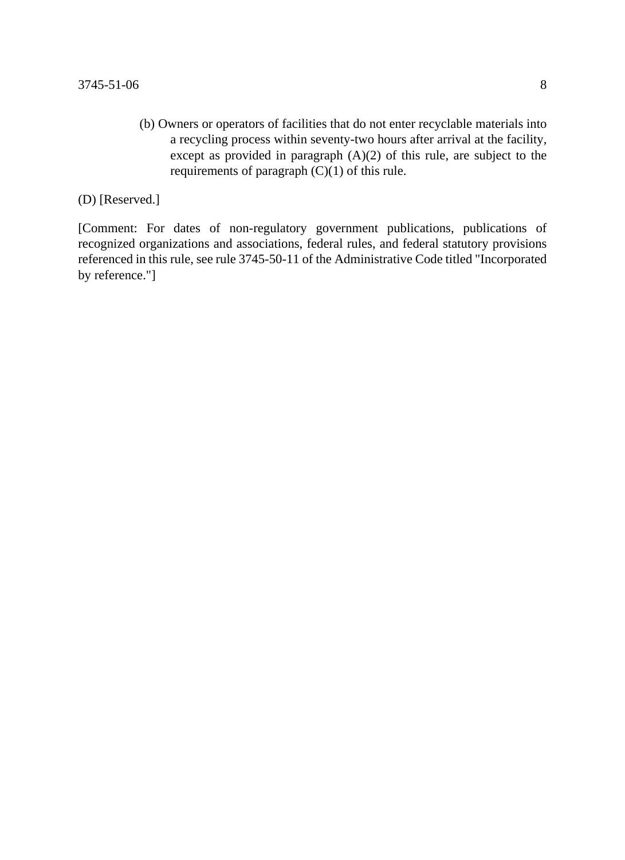(b) Owners or operators of facilities that do not enter recyclable materials into a recycling process within seventy-two hours after arrival at the facility, except as provided in paragraph (A)(2) of this rule, are subject to the requirements of paragraph (C)(1) of this rule.

(D) [Reserved.]

[Comment: For dates of non-regulatory government publications, publications of recognized organizations and associations, federal rules, and federal statutory provisions referenced in this rule, see rule 3745-50-11 of the Administrative Code titled "Incorporated by reference."]